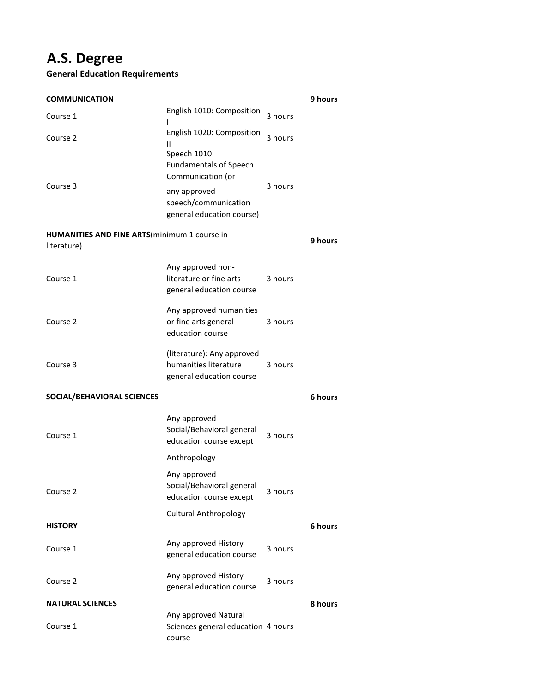## **A.S. Degree**

## **General Education Requirements**

| <b>COMMUNICATION</b>                                                |                                                                                                                                         |         | 9 hours |
|---------------------------------------------------------------------|-----------------------------------------------------------------------------------------------------------------------------------------|---------|---------|
| Course 1                                                            | English 1010: Composition                                                                                                               | 3 hours |         |
| Course 2                                                            | English 1020: Composition<br>Ш                                                                                                          | 3 hours |         |
| Course 3                                                            | Speech 1010:<br><b>Fundamentals of Speech</b><br>Communication (or<br>any approved<br>speech/communication<br>general education course) | 3 hours |         |
| <b>HUMANITIES AND FINE ARTS</b> (minimum 1 course in<br>literature) |                                                                                                                                         |         | 9 hours |
| Course 1                                                            | Any approved non-<br>literature or fine arts<br>general education course                                                                | 3 hours |         |
| Course 2                                                            | Any approved humanities<br>or fine arts general<br>education course                                                                     | 3 hours |         |
| Course 3                                                            | (literature): Any approved<br>humanities literature<br>general education course                                                         | 3 hours |         |
| SOCIAL/BEHAVIORAL SCIENCES                                          |                                                                                                                                         |         | 6 hours |
| Course 1                                                            | Any approved<br>Social/Behavioral general<br>education course except                                                                    | 3 hours |         |
|                                                                     | Anthropology                                                                                                                            |         |         |
| Course 2                                                            | Any approved<br>Social/Behavioral general<br>education course except                                                                    | 3 hours |         |
| HISTORY                                                             | <b>Cultural Anthropology</b>                                                                                                            |         | 6 hours |
| Course 1                                                            | Any approved History<br>general education course                                                                                        | 3 hours |         |
| Course 2                                                            | Any approved History<br>general education course                                                                                        | 3 hours |         |
| <b>NATURAL SCIENCES</b>                                             |                                                                                                                                         |         | 8 hours |
| Course 1                                                            | Any approved Natural<br>Sciences general education 4 hours<br>course                                                                    |         |         |